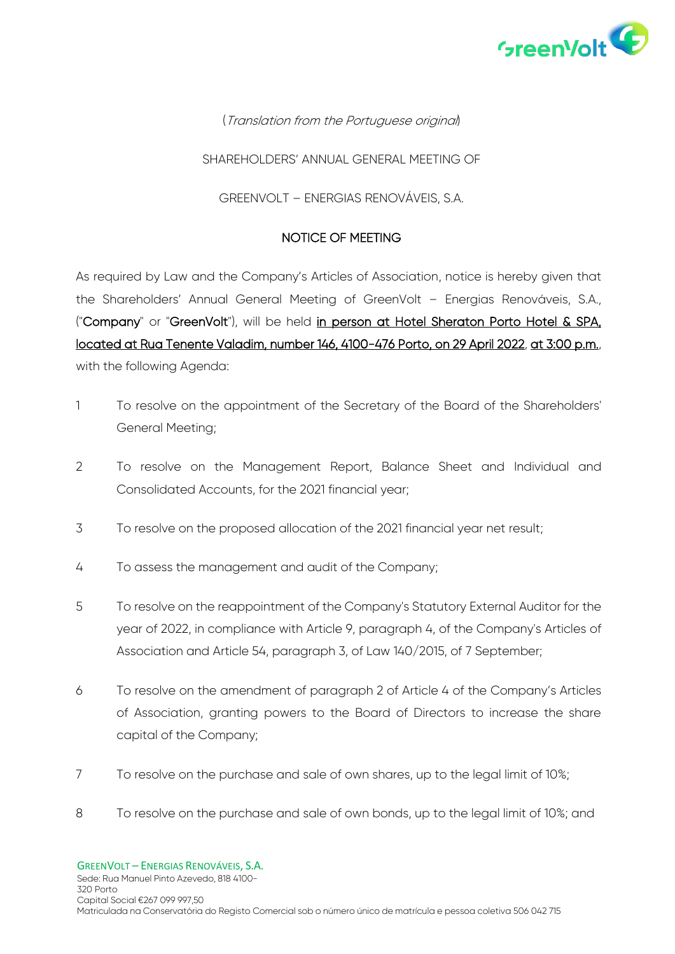

## (Translation from the Portuguese original)

#### SHARFHOLDERS' ANNUAL GENERAL MEETING OF

#### GREENVOLT – ENERGIAS RENOVÁVEIS, S.A.

#### NOTICE OF MEETING

As required by Law and the Company's Articles of Association, notice is hereby given that the Shareholders' Annual General Meeting of GreenVolt – Energias Renováveis, S.A., ("Company" or "GreenVolt"), will be held in person at Hotel Sheraton Porto Hotel & SPA, located at Rua Tenente Valadim, number 146, 4100-476 Porto, on 29 April 2022, at 3:00 p.m., with the following Agenda:

- 1 To resolve on the appointment of the Secretary of the Board of the Shareholders' General Meeting;
- 2 To resolve on the Management Report, Balance Sheet and Individual and Consolidated Accounts, for the 2021 financial year;
- 3 To resolve on the proposed allocation of the 2021 financial year net result;
- 4 To assess the management and audit of the Company;
- 5 To resolve on the reappointment of the Company's Statutory External Auditor for the year of 2022, in compliance with Article 9, paragraph 4, of the Company's Articles of Association and Article 54, paragraph 3, of Law 140/2015, of 7 September;
- 6 To resolve on the amendment of paragraph 2 of Article 4 of the Company's Articles of Association, granting powers to the Board of Directors to increase the share capital of the Company;
- 7 To resolve on the purchase and sale of own shares, up to the legal limit of 10%;
- 8 To resolve on the purchase and sale of own bonds, up to the legal limit of 10%; and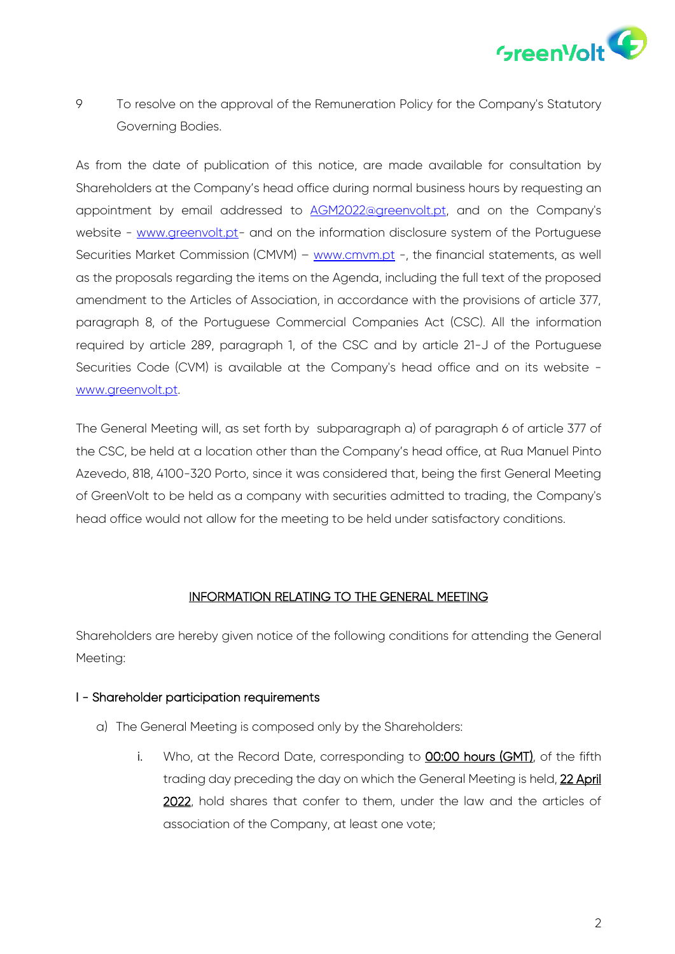

9 To resolve on the approval of the Remuneration Policy for the Company's Statutory Governing Bodies.

As from the date of publication of this notice, are made available for consultation by Shareholders at the Company's head office during normal business hours by requesting an appointment by email addressed to [AGM2022@greenvolt.pt,](mailto:AGM2022@greenvolt.pt) and on the Company's website - [www.greenvolt.pt-](http://www.greenvolt.pt/) and on the information disclosure system of the Portuguese Securities Market Commission (CMVM) – [www.cmvm.pt](http://www.cmvm.pt/) -, the financial statements, as well as the proposals regarding the items on the Agenda, including the full text of the proposed amendment to the Articles of Association, in accordance with the provisions of article 377, paragraph 8, of the Portuguese Commercial Companies Act (CSC). All the information required by article 289, paragraph 1, of the CSC and by article 21-J of the Portuguese Securities Code (CVM) is available at the Company's head office and on its website [www.greenvolt.pt.](http://www.greenvolt.pt/)

The General Meeting will, as set forth by subparagraph a) of paragraph 6 of article 377 of the CSC, be held at a location other than the Company's head office, at Rua Manuel Pinto Azevedo, 818, 4100-320 Porto, since it was considered that, being the first General Meeting of GreenVolt to be held as a company with securities admitted to trading, the Company's head office would not allow for the meeting to be held under satisfactory conditions.

### INFORMATION RELATING TO THE GENERAL MEETING

Shareholders are hereby given notice of the following conditions for attending the General Meeting:

### I - Shareholder participation requirements

- a) The General Meeting is composed only by the Shareholders:
	- i. Who, at the Record Date, corresponding to **00:00 hours (GMT)**, of the fifth trading day preceding the day on which the General Meeting is held, 22 April 2022, hold shares that confer to them, under the law and the articles of association of the Company, at least one vote;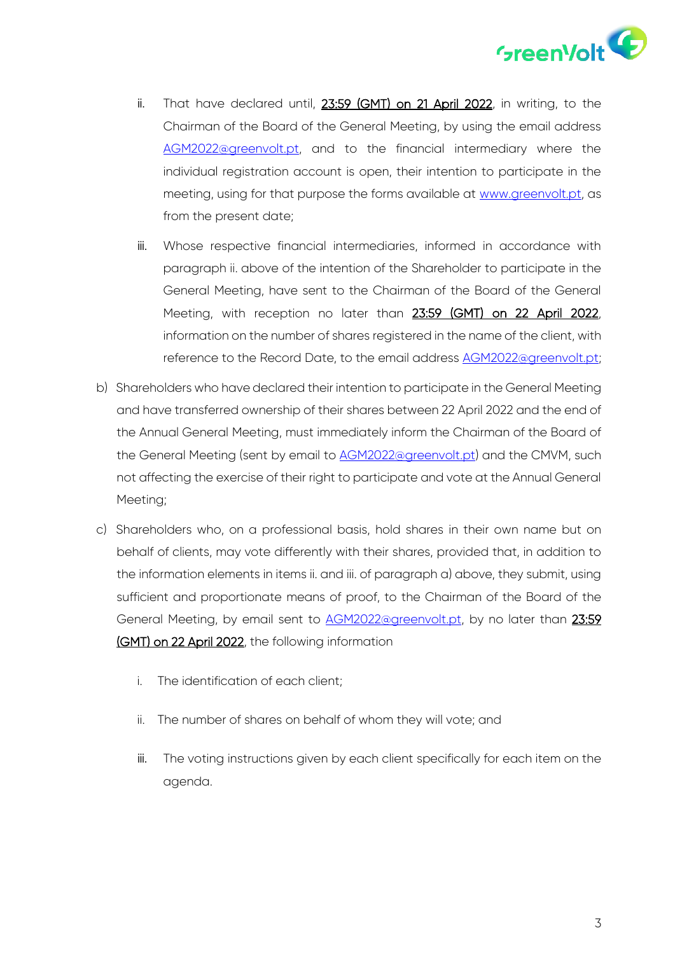

- ii. That have declared until, 23:59 (GMT) on 21 April 2022, in writing, to the Chairman of the Board of the General Meeting, by using the email address [AGM2022@greenvolt.pt,](mailto:AGM2022@greenvolt.pt) and to the financial intermediary where the individual registration account is open, their intention to participate in the meeting, using for that purpose the forms available at [www.greenvolt.pt,](http://www.greenvolt.pt/) as from the present date;
- iii. Whose respective financial intermediaries, informed in accordance with paragraph ii. above of the intention of the Shareholder to participate in the General Meeting, have sent to the Chairman of the Board of the General Meeting, with reception no later than 23:59 (GMT) on 22 April 2022, information on the number of shares registered in the name of the client, with reference to the Record Date, to the email address [AGM2022@greenvolt.pt;](mailto:AGM2022@greenvolt.pt)
- b) Shareholders who have declared their intention to participate in the General Meeting and have transferred ownership of their shares between 22 April 2022 and the end of the Annual General Meeting, must immediately inform the Chairman of the Board of the General Meeting (sent by email to [AGM2022@greenvolt.pt\)](mailto:AGM2022@greenvolt.pt) and the CMVM, such not affecting the exercise of their right to participate and vote at the Annual General Meeting;
- c) Shareholders who, on a professional basis, hold shares in their own name but on behalf of clients, may vote differently with their shares, provided that, in addition to the information elements in items ii. and iii. of paragraph a) above, they submit, using sufficient and proportionate means of proof, to the Chairman of the Board of the General Meeting, by email sent to [AGM2022@greenvolt.pt,](mailto:AGM2022@greenvolt.pt) by no later than 23:59 (GMT) on 22 April 2022, the following information
	- i. The identification of each client;
	- ii. The number of shares on behalf of whom they will vote; and
	- iii. The voting instructions given by each client specifically for each item on the agenda.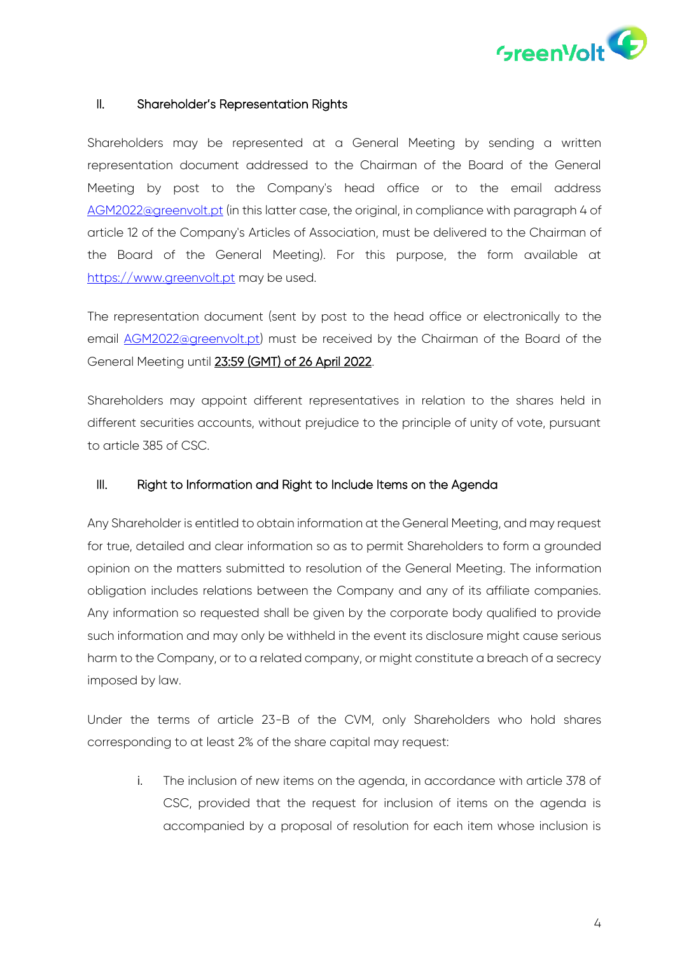

### II. Shareholder's Representation Rights

Shareholders may be represented at a General Meeting by sending a written representation document addressed to the Chairman of the Board of the General Meeting by post to the Company's head office or to the email address [AGM2022@greenvolt.pt](mailto:AGM2022@greenvolt.pt) (in this latter case, the original, in compliance with paragraph 4 of article 12 of the Company's Articles of Association, must be delivered to the Chairman of the Board of the General Meeting). For this purpose, the form available at [https://www.greenvolt.pt](https://www.greenvolt.pt/) may be used.

The representation document (sent by post to the head office or electronically to the email **AGM2022@greenvolt.pt**) must be received by the Chairman of the Board of the General Meeting until 23:59 (GMT) of 26 April 2022.

Shareholders may appoint different representatives in relation to the shares held in different securities accounts, without prejudice to the principle of unity of vote, pursuant to article 385 of CSC.

#### III. Right to Information and Right to Include Items on the Agenda

Any Shareholder is entitled to obtain information at the General Meeting, and may request for true, detailed and clear information so as to permit Shareholders to form a grounded opinion on the matters submitted to resolution of the General Meeting. The information obligation includes relations between the Company and any of its affiliate companies. Any information so requested shall be given by the corporate body qualified to provide such information and may only be withheld in the event its disclosure might cause serious harm to the Company, or to a related company, or might constitute a breach of a secrecy imposed by law.

Under the terms of article 23-B of the CVM, only Shareholders who hold shares corresponding to at least 2% of the share capital may request:

i. The inclusion of new items on the agenda, in accordance with article 378 of CSC, provided that the request for inclusion of items on the agenda is accompanied by a proposal of resolution for each item whose inclusion is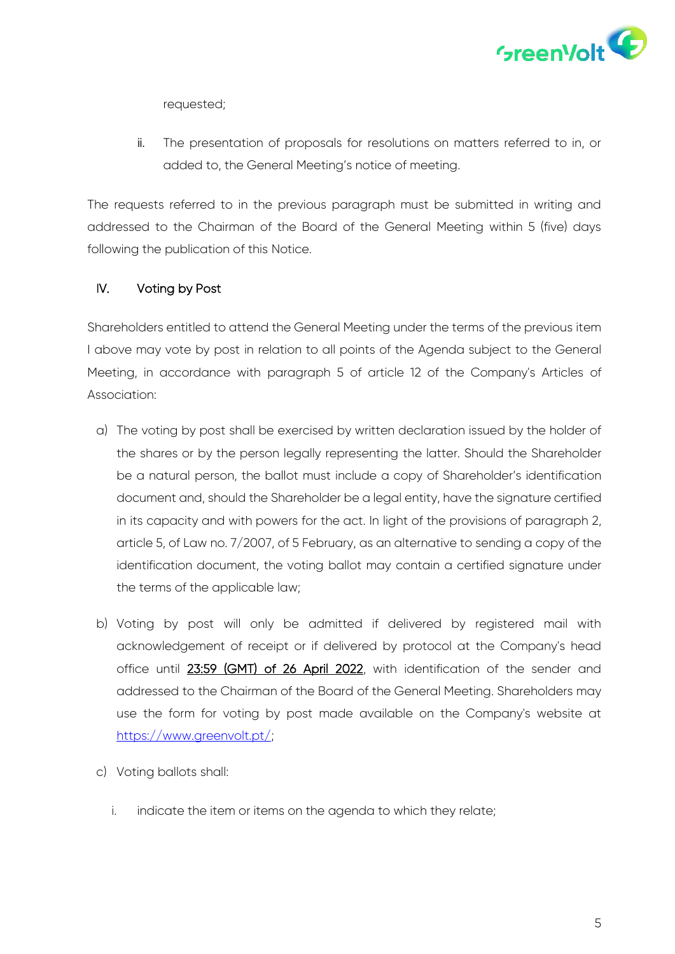

requested;

ii. The presentation of proposals for resolutions on matters referred to in, or added to, the General Meeting's notice of meeting.

The requests referred to in the previous paragraph must be submitted in writing and addressed to the Chairman of the Board of the General Meeting within 5 (five) days following the publication of this Notice.

## IV. Voting by Post

Shareholders entitled to attend the General Meeting under the terms of the previous item I above may vote by post in relation to all points of the Agenda subject to the General Meeting, in accordance with paragraph 5 of article 12 of the Company's Articles of Association:

- a) The voting by post shall be exercised by written declaration issued by the holder of the shares or by the person legally representing the latter. Should the Shareholder be a natural person, the ballot must include a copy of Shareholder's identification document and, should the Shareholder be a legal entity, have the signature certified in its capacity and with powers for the act. In light of the provisions of paragraph 2, article 5, of Law no. 7/2007, of 5 February, as an alternative to sending a copy of the identification document, the voting ballot may contain a certified signature under the terms of the applicable law;
- b) Voting by post will only be admitted if delivered by registered mail with acknowledgement of receipt or if delivered by protocol at the Company's head office until 23:59 (GMT) of 26 April 2022, with identification of the sender and addressed to the Chairman of the Board of the General Meeting. Shareholders may use the form for voting by post made available on the Company's website at [https://www.greenvolt.pt/;](https://www.greenvolt.pt/)
- c) Voting ballots shall:
	- i. indicate the item or items on the agenda to which they relate;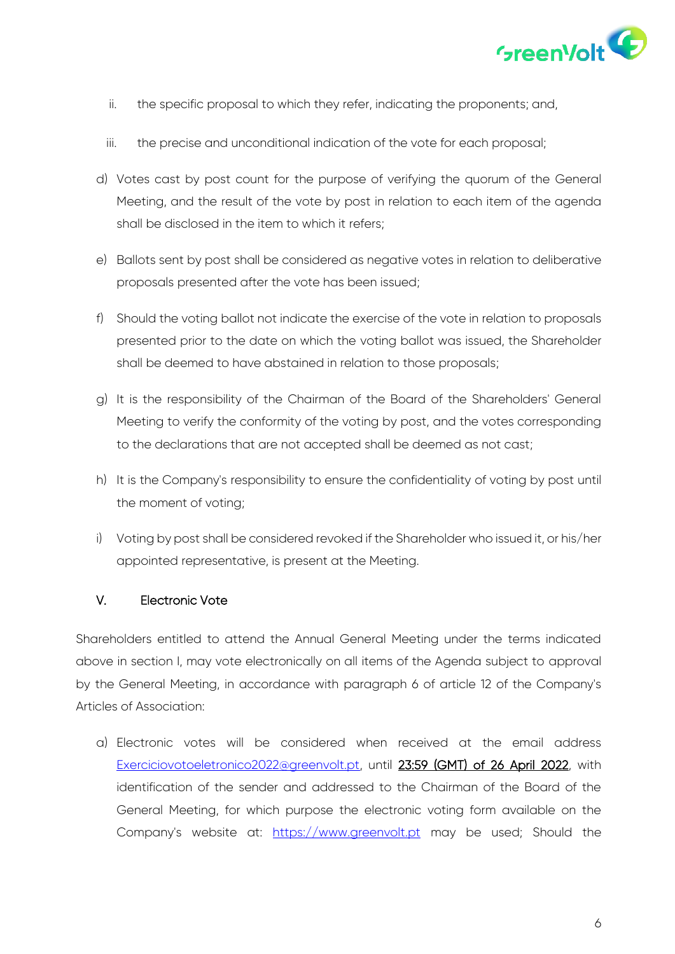

- ii. the specific proposal to which they refer, indicating the proponents; and,
- iii. the precise and unconditional indication of the vote for each proposal;
- d) Votes cast by post count for the purpose of verifying the quorum of the General Meeting, and the result of the vote by post in relation to each item of the agenda shall be disclosed in the item to which it refers;
- e) Ballots sent by post shall be considered as negative votes in relation to deliberative proposals presented after the vote has been issued;
- f) Should the voting ballot not indicate the exercise of the vote in relation to proposals presented prior to the date on which the voting ballot was issued, the Shareholder shall be deemed to have abstained in relation to those proposals;
- g) It is the responsibility of the Chairman of the Board of the Shareholders' General Meeting to verify the conformity of the voting by post, and the votes corresponding to the declarations that are not accepted shall be deemed as not cast;
- h) It is the Company's responsibility to ensure the confidentiality of voting by post until the moment of voting;
- i) Voting by post shall be considered revoked if the Shareholder who issued it, or his/her appointed representative, is present at the Meeting.

### V. Electronic Vote

Shareholders entitled to attend the Annual General Meeting under the terms indicated above in section I, may vote electronically on all items of the Agenda subject to approval by the General Meeting, in accordance with paragraph 6 of article 12 of the Company's Articles of Association:

a) Electronic votes will be considered when received at the email address [Exerciciovotoeletronico2022@greenvolt.pt,](mailto:Exerciciovotoeletronico2022@greenvolt.pt) until 23:59 (GMT) of 26 April 2022, with identification of the sender and addressed to the Chairman of the Board of the General Meeting, for which purpose the electronic voting form available on the Company's website at: [https://www.greenvolt.pt](https://www.greenvolt.pt/) may be used; Should the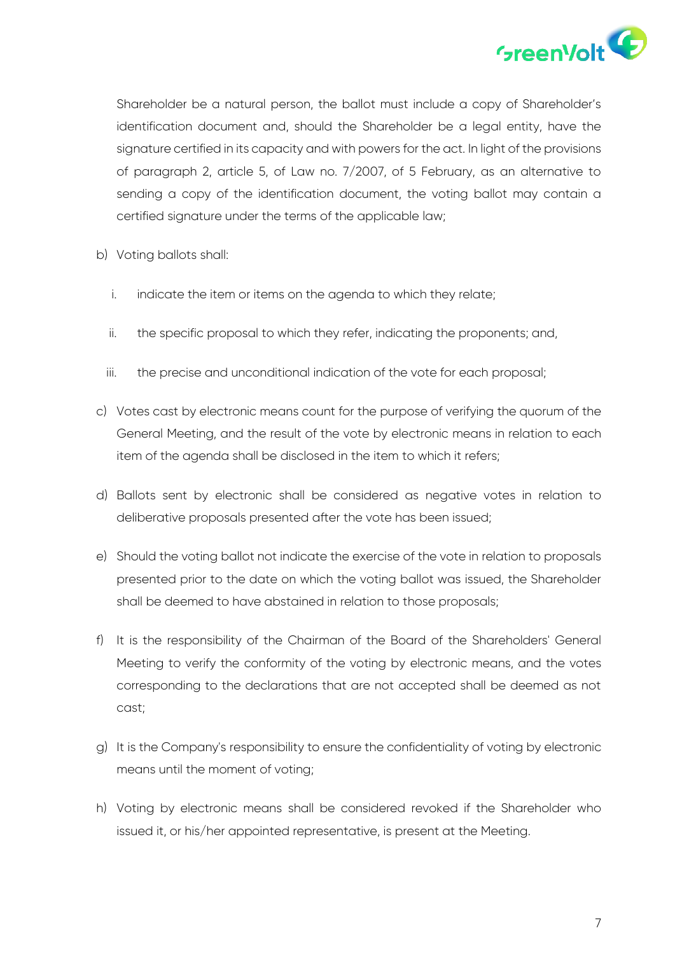

Shareholder be a natural person, the ballot must include a copy of Shareholder's identification document and, should the Shareholder be a legal entity, have the signature certified in its capacity and with powers for the act. In light of the provisions of paragraph 2, article 5, of Law no. 7/2007, of 5 February, as an alternative to sending a copy of the identification document, the voting ballot may contain a certified signature under the terms of the applicable law;

- b) Voting ballots shall:
	- i. indicate the item or items on the agenda to which they relate;
	- ii. the specific proposal to which they refer, indicating the proponents; and,
	- iii. the precise and unconditional indication of the vote for each proposal;
- c) Votes cast by electronic means count for the purpose of verifying the quorum of the General Meeting, and the result of the vote by electronic means in relation to each item of the agenda shall be disclosed in the item to which it refers;
- d) Ballots sent by electronic shall be considered as negative votes in relation to deliberative proposals presented after the vote has been issued;
- e) Should the voting ballot not indicate the exercise of the vote in relation to proposals presented prior to the date on which the voting ballot was issued, the Shareholder shall be deemed to have abstained in relation to those proposals;
- f) It is the responsibility of the Chairman of the Board of the Shareholders' General Meeting to verify the conformity of the voting by electronic means, and the votes corresponding to the declarations that are not accepted shall be deemed as not cast;
- g) It is the Company's responsibility to ensure the confidentiality of voting by electronic means until the moment of voting;
- h) Voting by electronic means shall be considered revoked if the Shareholder who issued it, or his/her appointed representative, is present at the Meeting.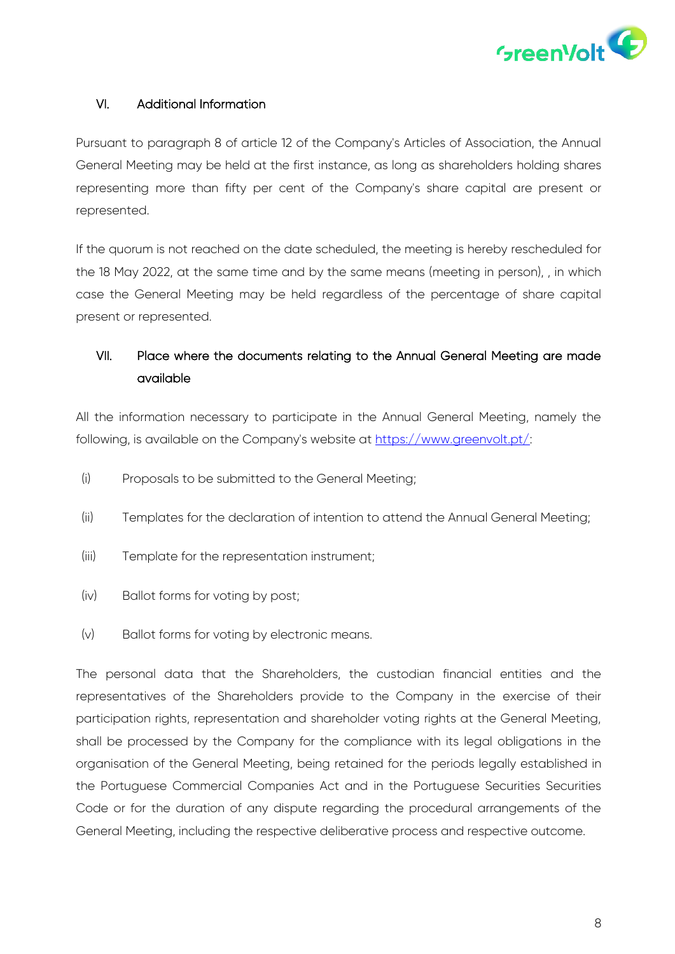

## VI. Additional Information

Pursuant to paragraph 8 of article 12 of the Company's Articles of Association, the Annual General Meeting may be held at the first instance, as long as shareholders holding shares representing more than fifty per cent of the Company's share capital are present or represented.

If the quorum is not reached on the date scheduled, the meeting is hereby rescheduled for the 18 May 2022, at the same time and by the same means (meeting in person), , in which case the General Meeting may be held regardless of the percentage of share capital present or represented.

# VII. Place where the documents relating to the Annual General Meeting are made available

All the information necessary to participate in the Annual General Meeting, namely the following, is available on the Company's website at [https://www.greenvolt.pt/:](https://www.greenvolt.pt/)

- (i) Proposals to be submitted to the General Meeting;
- (ii) Templates for the declaration of intention to attend the Annual General Meeting;
- (iii) Template for the representation instrument;
- (iv) Ballot forms for voting by post;
- (v) Ballot forms for voting by electronic means.

The personal data that the Shareholders, the custodian financial entities and the representatives of the Shareholders provide to the Company in the exercise of their participation rights, representation and shareholder voting rights at the General Meeting, shall be processed by the Company for the compliance with its legal obligations in the organisation of the General Meeting, being retained for the periods legally established in the Portuguese Commercial Companies Act and in the Portuguese Securities Securities Code or for the duration of any dispute regarding the procedural arrangements of the General Meeting, including the respective deliberative process and respective outcome.